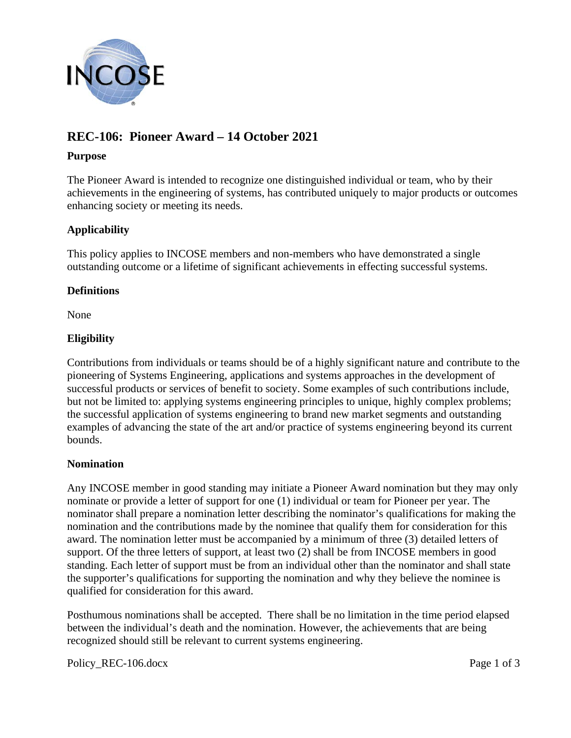

# **REC-106: Pioneer Award – 14 October 2021**

### **Purpose**

The Pioneer Award is intended to recognize one distinguished individual or team, who by their achievements in the engineering of systems, has contributed uniquely to major products or outcomes enhancing society or meeting its needs.

# **Applicability**

This policy applies to INCOSE members and non-members who have demonstrated a single outstanding outcome or a lifetime of significant achievements in effecting successful systems.

### **Definitions**

None

# **Eligibility**

Contributions from individuals or teams should be of a highly significant nature and contribute to the pioneering of Systems Engineering, applications and systems approaches in the development of successful products or services of benefit to society. Some examples of such contributions include, but not be limited to: applying systems engineering principles to unique, highly complex problems; the successful application of systems engineering to brand new market segments and outstanding examples of advancing the state of the art and/or practice of systems engineering beyond its current bounds.

# **Nomination**

Any INCOSE member in good standing may initiate a Pioneer Award nomination but they may only nominate or provide a letter of support for one (1) individual or team for Pioneer per year. The nominator shall prepare a nomination letter describing the nominator's qualifications for making the nomination and the contributions made by the nominee that qualify them for consideration for this award. The nomination letter must be accompanied by a minimum of three (3) detailed letters of support. Of the three letters of support, at least two (2) shall be from INCOSE members in good standing. Each letter of support must be from an individual other than the nominator and shall state the supporter's qualifications for supporting the nomination and why they believe the nominee is qualified for consideration for this award.

Posthumous nominations shall be accepted. There shall be no limitation in the time period elapsed between the individual's death and the nomination. However, the achievements that are being recognized should still be relevant to current systems engineering.

Policy REC-106.docx Page 1 of 3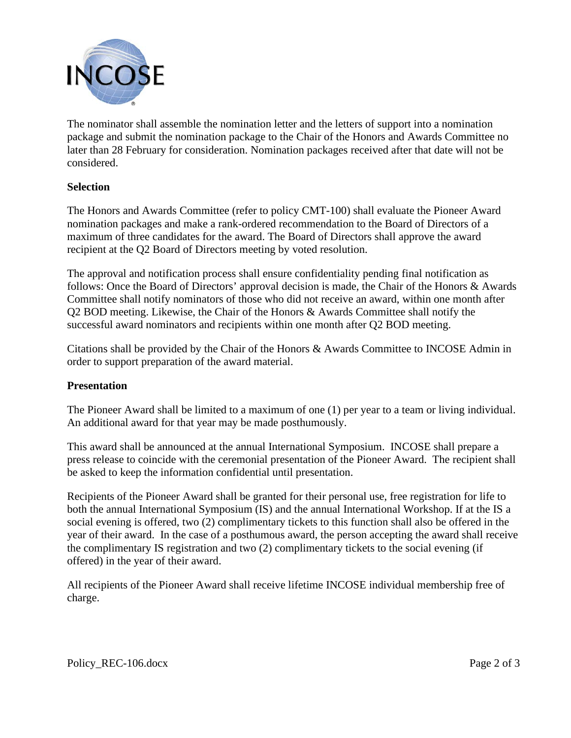

The nominator shall assemble the nomination letter and the letters of support into a nomination package and submit the nomination package to the Chair of the Honors and Awards Committee no later than 28 February for consideration. Nomination packages received after that date will not be considered.

### **Selection**

The Honors and Awards Committee (refer to policy CMT-100) shall evaluate the Pioneer Award nomination packages and make a rank-ordered recommendation to the Board of Directors of a maximum of three candidates for the award. The Board of Directors shall approve the award recipient at the Q2 Board of Directors meeting by voted resolution.

The approval and notification process shall ensure confidentiality pending final notification as follows: Once the Board of Directors' approval decision is made, the Chair of the Honors & Awards Committee shall notify nominators of those who did not receive an award, within one month after Q2 BOD meeting. Likewise, the Chair of the Honors & Awards Committee shall notify the successful award nominators and recipients within one month after Q2 BOD meeting.

Citations shall be provided by the Chair of the Honors & Awards Committee to INCOSE Admin in order to support preparation of the award material.

#### **Presentation**

The Pioneer Award shall be limited to a maximum of one (1) per year to a team or living individual. An additional award for that year may be made posthumously.

This award shall be announced at the annual International Symposium. INCOSE shall prepare a press release to coincide with the ceremonial presentation of the Pioneer Award. The recipient shall be asked to keep the information confidential until presentation.

Recipients of the Pioneer Award shall be granted for their personal use, free registration for life to both the annual International Symposium (IS) and the annual International Workshop. If at the IS a social evening is offered, two (2) complimentary tickets to this function shall also be offered in the year of their award. In the case of a posthumous award, the person accepting the award shall receive the complimentary IS registration and two (2) complimentary tickets to the social evening (if offered) in the year of their award.

All recipients of the Pioneer Award shall receive lifetime INCOSE individual membership free of charge.